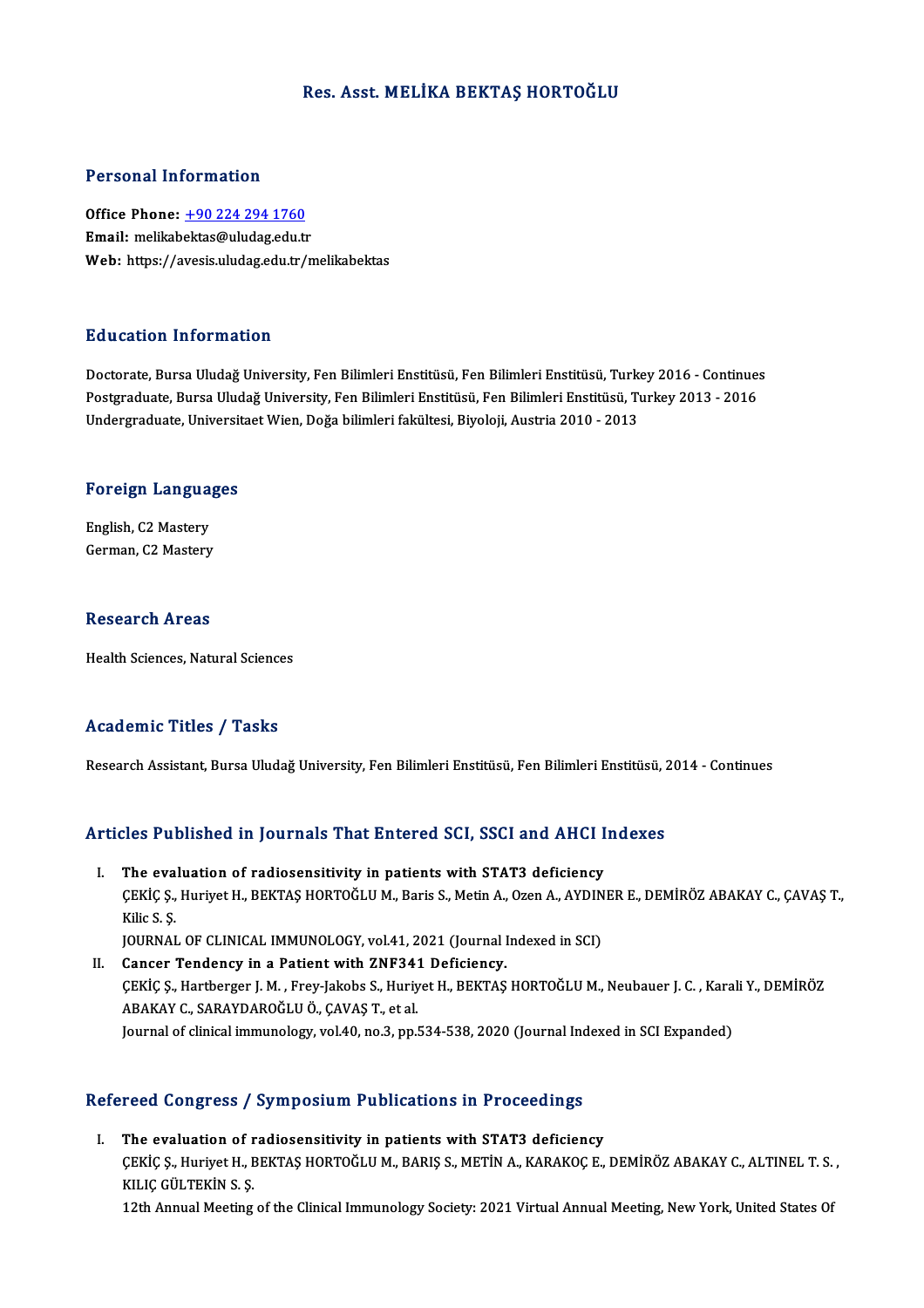### Res. Asst. MELİKA BEKTAŞ HORTOĞLU

#### Personal Information

Office Phone: +90 224 294 1760 Email: melikab[ektas@uludag.edu.t](tel:+90 224 294 1760)r Web: https://avesis.uludag.edu.tr/melikabektas

#### Education Information

Doctorate, Bursa Uludağ University, Fen Bilimleri Enstitüsü, Fen Bilimleri Enstitüsü, Turkey 2016 - Continues Pu u sutrom minominusion<br>Doctorate, Bursa Uludağ University, Fen Bilimleri Enstitüsü, Fen Bilimleri Enstitüsü, Turkey 2016 - Continue:<br>Indergraduate, Hniversitest Wien, Değe bilimleri fekültesi, Biveleji, Austria 2010 - 20 Doctorate, Bursa Uludağ University, Fen Bilimleri Enstitüsü, Fen Bilimleri Enstitüsü, Turk<br>Postgraduate, Bursa Uludağ University, Fen Bilimleri Enstitüsü, Fen Bilimleri Enstitüsü, Tı<br>Undergraduate, Universitaet Wien, Doğa

# <sub>ondergraduate, oniversit<br>Foreign Languages</sub>

Foreign Langua<br>English, C2 Mastery<br>Carman C2 Mastery English, C2 Mastery<br>German, C2 Mastery

#### **Research Areas**

Health Sciences, Natural Sciences

### Academic Titles / Tasks

Research Assistant, Bursa Uludağ University, Fen Bilimleri Enstitüsü, Fen Bilimleri Enstitüsü, 2014 - Continues

# Research Assistant, bursa Uludag University, Fen Billmeri Enstitusu, Fen Billmeri Enstitusu, 2<br>Articles Published in Journals That Entered SCI, SSCI and AHCI Indexes

- rticles Published in Journals That Entered SCI, SSCI and AHCI I.<br>I. The evaluation of radiosensitivity in patients with STAT3 deficiency SEC 7 dönüncü in journalu rince Entered oci, Socrana Tiner Indenes<br>The evaluation of radiosensitivity in patients with STAT3 deficiency<br>CEKİÇ Ş., Huriyet H., BEKTAŞ HORTOĞLU M., Baris S., Metin A., Ozen A., AYDINER E., DEM I. The evaluation of radiosensitivity in patients with STAT3 deficiency<br>CEKIC S., Huriyet H., BEKTAS HORTOGLU M., Baris S., Metin A., Ozen A., AYDIN<br>Kilic S. S.<br>JOURNAL OF CLINICAL IMMUNOLOGY, vol.41, 2021 (Journal Indexed ÇEKİÇ Ş., Huriyet H., BEKTAŞ HORTOĞLU M., Baris S., Metin A., Ozen A., AYDIN<br>Kilic S. Ş.<br>JOURNAL OF CLINICAL IMMUNOLOGY, vol.41, 2021 (Journal Indexed in SCI)<br>Canger Tondangy in a Patient with ZNE341 Deficiency
- II. Cancer Tendency in a Patient with ZNF341 Deficiency. JOURNAL OF CLINICAL IMMUNOLOGY, vol.41, 2021 (Journal Indexed in SCI)<br>Cancer Tendency in a Patient with ZNF341 Deficiency.<br>ÇEKİÇ Ş., Hartberger J. M. , Frey-Jakobs S., Huriyet H., BEKTAŞ HORTOĞLU M., Neubauer J. C. , Karal ABAKAY C., SARAYDAROĞLU Ö., ÇAVAŞ T., et al.<br>Journal of clinical immunology, vol.40, no.3, pp.534-538, 2020 (Journal Indexed in SCI Expanded) ÇEKİÇ Ş., Hartberger J. M. , Frey-Jakobs S., Huriyet H., BEKTAŞ HORTOĞLU M., Neubauer J. C. , Kara<br>ABAKAY C., SARAYDAROĞLU Ö., ÇAVAŞ T., et al.<br>Journal of clinical immunology, vol.40, no.3, pp.534-538, 2020 (Journal Indexe

# yournal of clinical immunology, vol.40, ho.3, pp.334-338, 2020 (journal incorporation)<br>Refereed Congress / Symposium Publications in Proceedings

efereed Congress / Symposium Publications in Proceedings<br>I. The evaluation of radiosensitivity in patients with STAT3 deficiency<br>CEVICS Hurivet H. PEVTAS HOPTOČLUM PARIS S. METIN A. VARAVOCE roca Gongross / Symposium i ushcucisis in Froccoungs<br>The evaluation of radiosensitivity in patients with STAT3 deficiency<br>CEKİÇ Ş., Huriyet H., BEKTAŞ HORTOĞLU M., BARIŞ S., METİN A., KARAKOÇ E., DEMİRÖZ ABAKAY C., ALTINEL I. The evaluation of radiosensitivity in patients with STAT3 deficiency<br>CEKIC S., Huriyet H., BEKTAS HORTOĞLU M., BARIS S., METİN A., KARAKOC E., DEMİRÖZ ABAKAY C., ALTINEL T. S.<br>KILIC GÜLTEKİN S. S.<br>12th Annual Meeting of ÇEKİÇ Ş., Huriyet H., BEKTAŞ HORTOĞLU M., BARIŞ S., METİN A., KARAKOÇ E., DEMİRÖZ ABAKAY C., ALTINEL T. S.<br>KILIÇ GÜLTEKİN S. Ş.<br>12th Annual Meeting of the Clinical Immunology Society: 2021 Virtual Annual Meeting, New York,